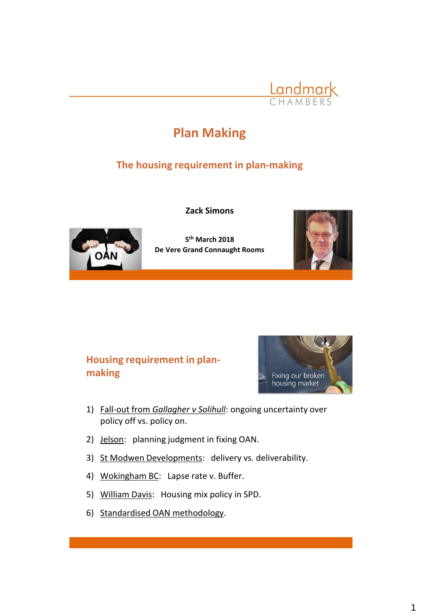

# **Plan Making**

## **The housing requirement in plan-making**



**Zack Simons**

**5 th March 2018 De Vere Grand Connaught Rooms**



# **Housing requirement in planmaking**



- 1) Fall-out from *Gallagher v Solihull*: ongoing uncertainty over policy off vs. policy on.
- 2) Jelson: planning judgment in fixing OAN.
- 3) St Modwen Developments: delivery vs. deliverability.
- 4) Wokingham BC: Lapse rate v. Buffer.
- 5) William Davis: Housing mix policy in SPD.
- 6) Standardised OAN methodology.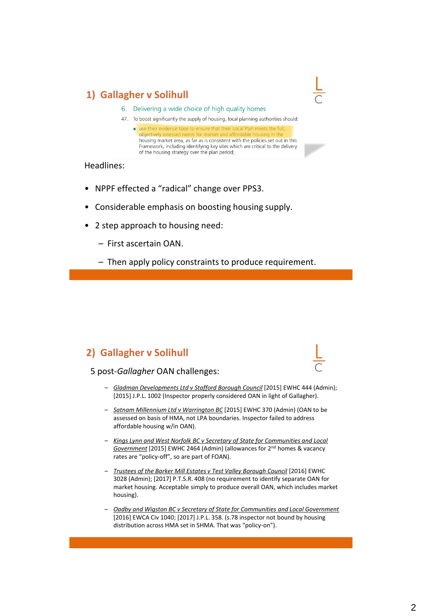### **1) Gallagher v Solihull**

- 6. Delivering a wide choice of high quality homes
- 47. To boost significantly the supply of housing, local planning authorities should:
	- · use their evidence objectively a housing market area, as far as is consistent with the policies set out in this Framework, including identifying key sites which are critical to the delivery of the housing strategy over the plan period;

Headlines:

- NPPF effected a "radical" change over PPS3.
- Considerable emphasis on boosting housing supply.
- 2 step approach to housing need:
	- First ascertain OAN.
	- Then apply policy constraints to produce requirement.

#### **2) Gallagher v Solihull**



#### 5 post-*Gallagher* OAN challenges:

- *Gladman Developments Ltd v Stafford Borough Council* [2015] EWHC 444 (Admin); [2015] J.P.L. 1002 (Inspector properly considered OAN in light of Gallagher).
- *Satnam Millennium Ltd v Warrington BC* [2015] EWHC 370 (Admin) (OAN to be assessed on basis of HMA, not LPA boundaries. Inspector failed to address affordable housing w/in OAN).
- *Kings Lynn and West Norfolk BC v Secretary of State for Communities and Local Government* [2015] EWHC 2464 (Admin) (allowances for 2nd homes & vacancy rates are "policy-off", so are part of FOAN).
- *Trustees of the Barker Mill Estates v Test Valley Borough Council* [2016] EWHC 3028 (Admin); [2017] P.T.S.R. 408 (no requirement to identify separate OAN for market housing. Acceptable simply to produce overall OAN, which includes market housing).
- *Oadby and Wigston BC v Secretary of State for Communities and Local Government* [2016] EWCA Civ 1040; [2017] J.P.L. 358. (s.78 inspector not bound by housing distribution across HMA set in SHMA. That was "policy-on").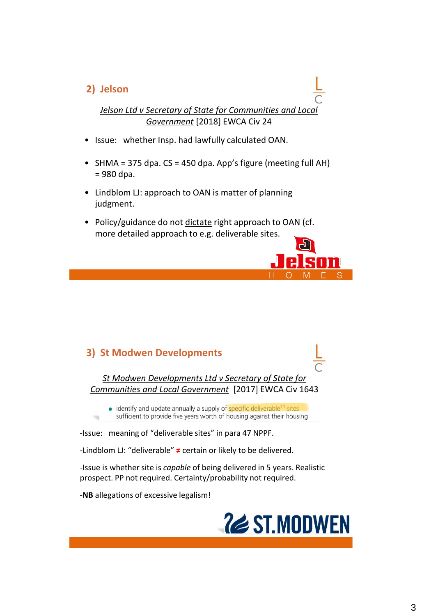#### **2) Jelson**

*Jelson Ltd v Secretary of State for Communities and Local Government* [2018] EWCA Civ 24

- Issue: whether Insp. had lawfully calculated OAN.
- SHMA = 375 dpa. CS = 450 dpa. App's figure (meeting full AH) = 980 dpa.
- Lindblom LJ: approach to OAN is matter of planning judgment.
- Policy/guidance do not dictate right approach to OAN (cf. more detailed approach to e.g. deliverable sites.

#### **3) St Modwen Developments**

*St Modwen Developments Ltd v Secretary of State for Communities and Local Government* [2017] EWCA Civ 1643

• identify and update annually a supply of specific deliverable<sup>11</sup> sites sufficient to provide five years worth of housing against their housing

‐Issue: meaning of "deliverable sites" in para 47 NPPF.

‐Lindblom LJ: "deliverable" **≠** certain or likely to be delivered.

‐Issue is whether site is *capable* of being delivered in 5 years. Realistic prospect. PP not required. Certainty/probability not required.

‐**NB** allegations of excessive legalism!



н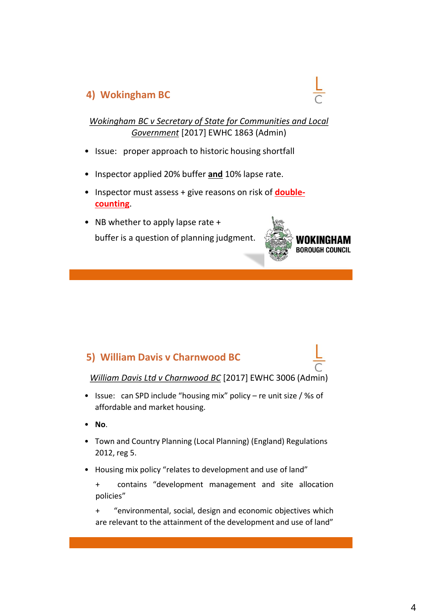#### **4) Wokingham BC**

*Wokingham BC v Secretary of State for Communities and Local Government* [2017] EWHC 1863 (Admin)

- Issue: proper approach to historic housing shortfall
- Inspector applied 20% buffer **and** 10% lapse rate.
- Inspector must assess + give reasons on risk of **doublecounting**.
- NB whether to apply lapse rate + buffer is a question of planning judgment.



#### **5) William Davis v Charnwood BC**



*William Davis Ltd v Charnwood BC* [2017] EWHC 3006 (Admin)

- Issue: can SPD include "housing mix" policy re unit size / %s of affordable and market housing.
- **No**.
- Town and Country Planning (Local Planning) (England) Regulations 2012, reg 5.
- Housing mix policy "relates to development and use of land"
	- + contains "development management and site allocation policies"

+ "environmental, social, design and economic objectives which are relevant to the attainment of the development and use of land"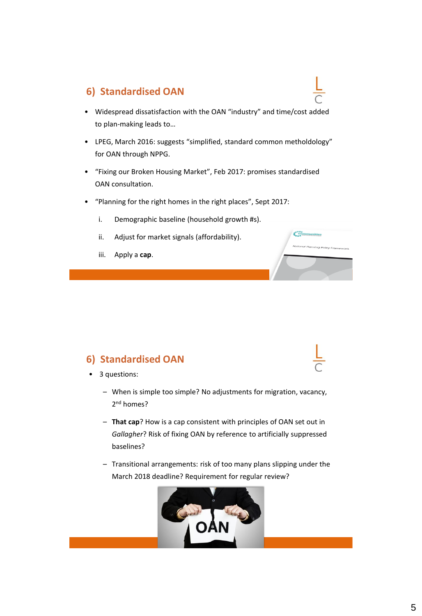#### **6) Standardised OAN**

- Widespread dissatisfaction with the OAN "industry" and time/cost added to plan-making leads to…
- LPEG, March 2016: suggests "simplified, standard common metholdology" for OAN through NPPG.
- "Fixing our Broken Housing Market", Feb 2017: promises standardised OAN consultation.

c

g<br>Policy Fran

- "Planning for the right homes in the right places", Sept 2017:
	- i. Demographic baseline (household growth #s).
	- ii. Adjust for market signals (affordability).
	- iii. Apply a **cap**.

#### **6) Standardised OAN**

- 3 questions:
	- When is simple too simple? No adjustments for migration, vacancy, 2<sup>nd</sup> homes?
	- **That cap**? How is a cap consistent with principles of OAN set out in *Gallagher*? Risk of fixing OAN by reference to artificially suppressed baselines?
	- Transitional arrangements: risk of too many plans slipping under the March 2018 deadline? Requirement for regular review?